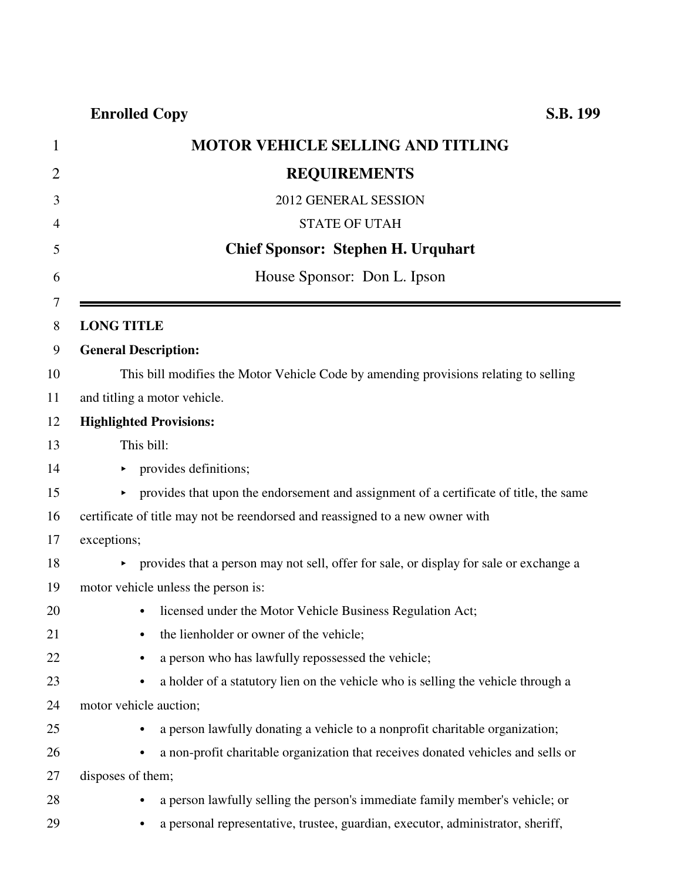|    | <b>MOTOR VEHICLE SELLING AND TITLING</b>                                                      |
|----|-----------------------------------------------------------------------------------------------|
|    | <b>REQUIREMENTS</b>                                                                           |
| 3  | 2012 GENERAL SESSION                                                                          |
| 4  | <b>STATE OF UTAH</b>                                                                          |
| 5  | <b>Chief Sponsor: Stephen H. Urquhart</b>                                                     |
| 6  | House Sponsor: Don L. Ipson                                                                   |
| 8  | <b>LONG TITLE</b>                                                                             |
|    | <b>General Description:</b>                                                                   |
|    | This bill modifies the Motor Vehicle Code by amending provisions relating to selling          |
|    | and titling a motor vehicle.                                                                  |
|    | <b>Highlighted Provisions:</b>                                                                |
|    | This bill:                                                                                    |
|    | provides definitions;                                                                         |
|    | provides that upon the endorsement and assignment of a certificate of title, the same<br>▶.   |
|    | certificate of title may not be reendorsed and reassigned to a new owner with                 |
|    | exceptions;                                                                                   |
|    | • provides that a person may not sell, offer for sale, or display for sale or exchange a      |
|    | motor vehicle unless the person is:                                                           |
|    | licensed under the Motor Vehicle Business Regulation Act;                                     |
|    | the lienholder or owner of the vehicle;                                                       |
|    | a person who has lawfully repossessed the vehicle;<br>٠                                       |
|    | a holder of a statutory lien on the vehicle who is selling the vehicle through a<br>$\bullet$ |
| 24 | motor vehicle auction;                                                                        |
| 25 | a person lawfully donating a vehicle to a nonprofit charitable organization;                  |
| 26 | a non-profit charitable organization that receives donated vehicles and sells or<br>$\bullet$ |
| 27 | disposes of them;                                                                             |
| 28 | a person lawfully selling the person's immediate family member's vehicle; or<br>٠             |
| 29 | a personal representative, trustee, guardian, executor, administrator, sheriff,<br>$\bullet$  |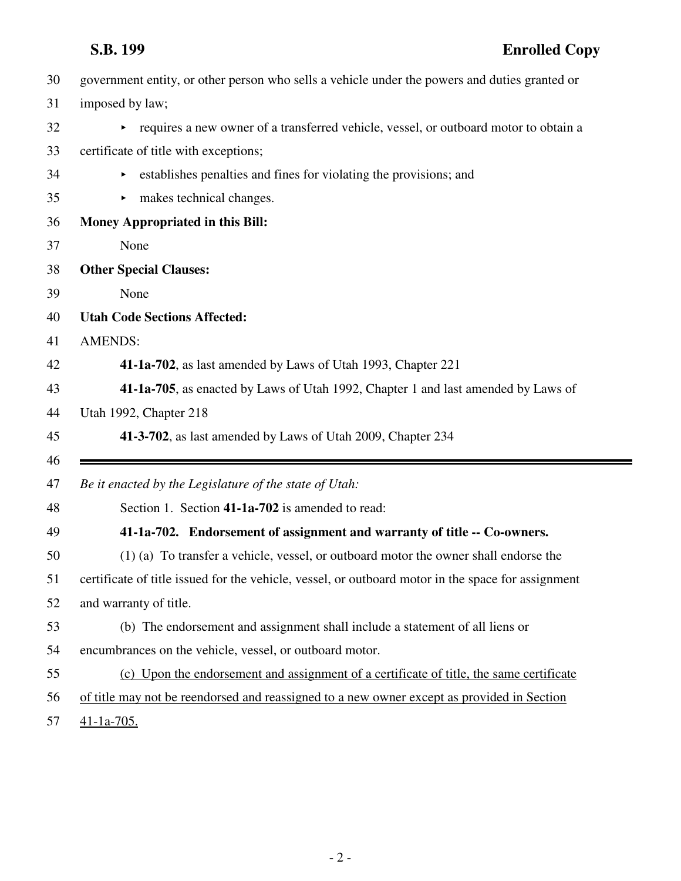|    | S.B. 199<br><b>Enrolled Copy</b>                                                                   |
|----|----------------------------------------------------------------------------------------------------|
| 30 | government entity, or other person who sells a vehicle under the powers and duties granted or      |
| 31 | imposed by law;                                                                                    |
| 32 | requires a new owner of a transferred vehicle, vessel, or outboard motor to obtain a               |
| 33 | certificate of title with exceptions;                                                              |
| 34 | establishes penalties and fines for violating the provisions; and<br>▶                             |
| 35 | makes technical changes.<br>▶                                                                      |
| 36 | <b>Money Appropriated in this Bill:</b>                                                            |
| 37 | None                                                                                               |
| 38 | <b>Other Special Clauses:</b>                                                                      |
| 39 | None                                                                                               |
| 40 | <b>Utah Code Sections Affected:</b>                                                                |
| 41 | <b>AMENDS:</b>                                                                                     |
| 42 | 41-1a-702, as last amended by Laws of Utah 1993, Chapter 221                                       |
| 43 | 41-1a-705, as enacted by Laws of Utah 1992, Chapter 1 and last amended by Laws of                  |
| 44 | Utah 1992, Chapter 218                                                                             |
| 45 | 41-3-702, as last amended by Laws of Utah 2009, Chapter 234                                        |
| 46 |                                                                                                    |
| 47 | Be it enacted by the Legislature of the state of Utah:                                             |
| 48 | Section 1. Section 41-1a-702 is amended to read:                                                   |
| 49 | 41-1a-702. Endorsement of assignment and warranty of title -- Co-owners.                           |
| 50 | (1) (a) To transfer a vehicle, vessel, or outboard motor the owner shall endorse the               |
| 51 | certificate of title issued for the vehicle, vessel, or outboard motor in the space for assignment |
| 52 | and warranty of title.                                                                             |
| 53 | (b) The endorsement and assignment shall include a statement of all liens or                       |
| 54 | encumbrances on the vehicle, vessel, or outboard motor.                                            |
| 55 | (c) Upon the endorsement and assignment of a certificate of title, the same certificate            |
| 56 | of title may not be reendorsed and reassigned to a new owner except as provided in Section         |
| 57 | $41-1a-705$ .                                                                                      |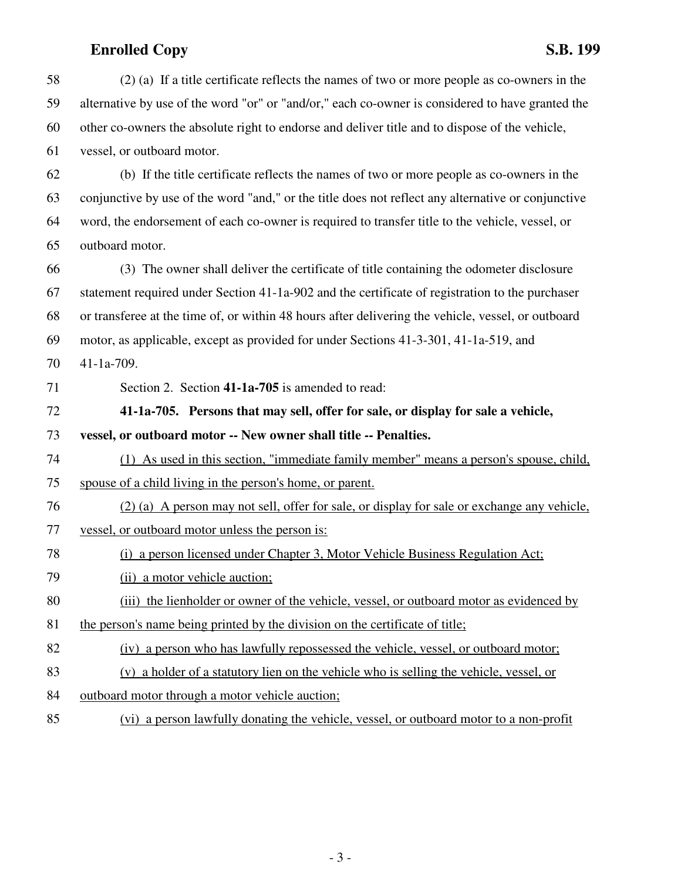| 58 | (2) (a) If a title certificate reflects the names of two or more people as co-owners in the        |
|----|----------------------------------------------------------------------------------------------------|
| 59 | alternative by use of the word "or" or "and/or," each co-owner is considered to have granted the   |
| 60 | other co-owners the absolute right to endorse and deliver title and to dispose of the vehicle,     |
| 61 | vessel, or outboard motor.                                                                         |
| 62 | (b) If the title certificate reflects the names of two or more people as co-owners in the          |
| 63 | conjunctive by use of the word "and," or the title does not reflect any alternative or conjunctive |
| 64 | word, the endorsement of each co-owner is required to transfer title to the vehicle, vessel, or    |
| 65 | outboard motor.                                                                                    |
| 66 | (3) The owner shall deliver the certificate of title containing the odometer disclosure            |
| 67 | statement required under Section 41-1a-902 and the certificate of registration to the purchaser    |
| 68 | or transferee at the time of, or within 48 hours after delivering the vehicle, vessel, or outboard |
| 69 | motor, as applicable, except as provided for under Sections 41-3-301, 41-1a-519, and               |
| 70 | 41-1a-709.                                                                                         |
| 71 | Section 2. Section 41-1a-705 is amended to read:                                                   |
|    |                                                                                                    |
| 72 | 41-1a-705. Persons that may sell, offer for sale, or display for sale a vehicle,                   |
| 73 | vessel, or outboard motor -- New owner shall title -- Penalties.                                   |
| 74 | (1) As used in this section, "immediate family member" means a person's spouse, child,             |
| 75 | spouse of a child living in the person's home, or parent.                                          |
| 76 | (2) (a) A person may not sell, offer for sale, or display for sale or exchange any vehicle,        |
| 77 | vessel, or outboard motor unless the person is:                                                    |
| 78 | a person licensed under Chapter 3, Motor Vehicle Business Regulation Act;<br>(i)                   |
| 79 | (ii) a motor vehicle auction;                                                                      |
| 80 | (iii) the lienholder or owner of the vehicle, vessel, or outboard motor as evidenced by            |
| 81 | the person's name being printed by the division on the certificate of title;                       |
| 82 | (iv) a person who has lawfully repossessed the vehicle, vessel, or outboard motor;                 |
| 83 | (v) a holder of a statutory lien on the vehicle who is selling the vehicle, vessel, or             |
| 84 | outboard motor through a motor vehicle auction;                                                    |

- 3 -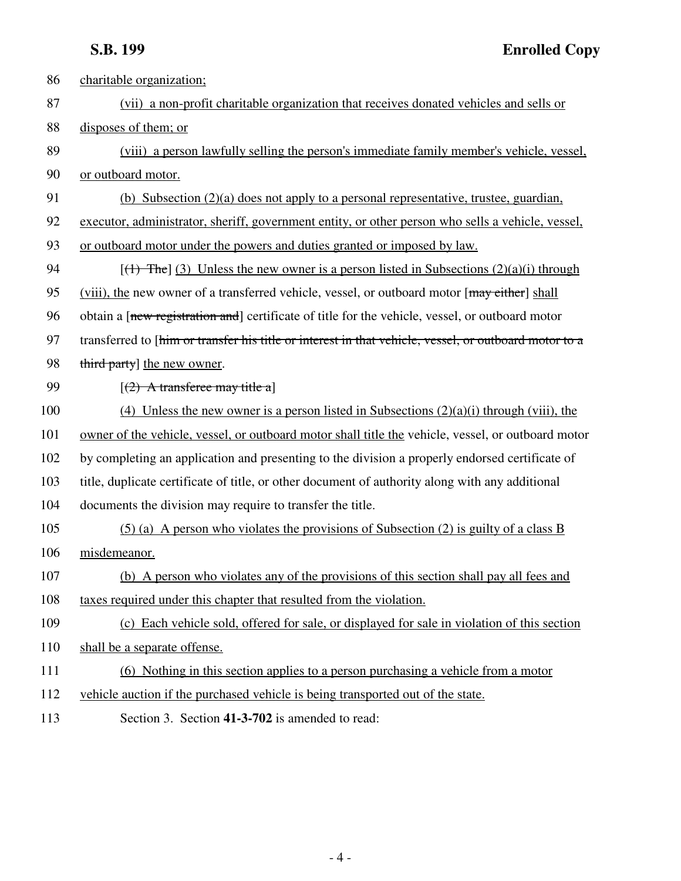| 86  | charitable organization;                                                                              |
|-----|-------------------------------------------------------------------------------------------------------|
| 87  | (vii) a non-profit charitable organization that receives donated vehicles and sells or                |
| 88  | disposes of them; or                                                                                  |
| 89  | (viii) a person lawfully selling the person's immediate family member's vehicle, vessel,              |
| 90  | or outboard motor.                                                                                    |
| 91  | (b) Subsection $(2)(a)$ does not apply to a personal representative, trustee, guardian,               |
| 92  | executor, administrator, sheriff, government entity, or other person who sells a vehicle, vessel,     |
| 93  | or outboard motor under the powers and duties granted or imposed by law.                              |
| 94  | $[(1)$ The] (3) Unless the new owner is a person listed in Subsections (2)(a)(i) through              |
| 95  | (viii), the new owner of a transferred vehicle, vessel, or outboard motor [may either] shall          |
| 96  | obtain a [new registration and] certificate of title for the vehicle, vessel, or outboard motor       |
| 97  | transferred to [him or transfer his title or interest in that vehicle, vessel, or outboard motor to a |
| 98  | third party] the new owner.                                                                           |
| 99  | $(2)$ A transferee may title a]                                                                       |
| 100 | (4) Unless the new owner is a person listed in Subsections $(2)(a)(i)$ through (viii), the            |
| 101 | owner of the vehicle, vessel, or outboard motor shall title the vehicle, vessel, or outboard motor    |
| 102 | by completing an application and presenting to the division a properly endorsed certificate of        |
| 103 | title, duplicate certificate of title, or other document of authority along with any additional       |
| 104 | documents the division may require to transfer the title.                                             |
| 105 | $(5)$ (a) A person who violates the provisions of Subsection (2) is guilty of a class B               |
| 106 | misdemeanor.                                                                                          |
| 107 | (b) A person who violates any of the provisions of this section shall pay all fees and                |
| 108 | taxes required under this chapter that resulted from the violation.                                   |
| 109 | (c) Each vehicle sold, offered for sale, or displayed for sale in violation of this section           |
| 110 | shall be a separate offense.                                                                          |
| 111 | (6) Nothing in this section applies to a person purchasing a vehicle from a motor                     |
| 112 | vehicle auction if the purchased vehicle is being transported out of the state.                       |
|     |                                                                                                       |

113 Section 3. Section **41-3-702** is amended to read: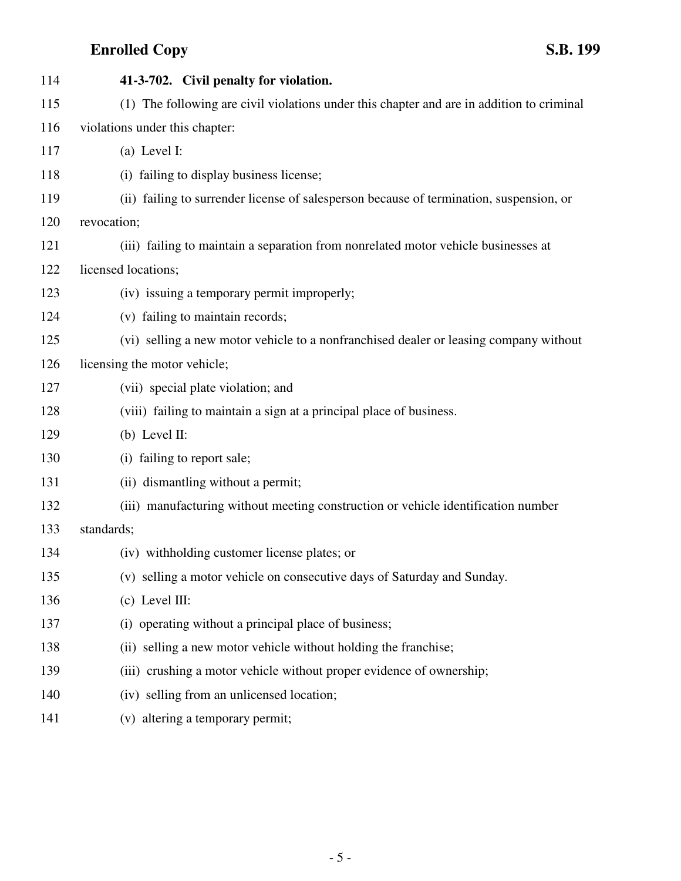| 114 | 41-3-702. Civil penalty for violation.                                                    |
|-----|-------------------------------------------------------------------------------------------|
| 115 | (1) The following are civil violations under this chapter and are in addition to criminal |
| 116 | violations under this chapter:                                                            |
| 117 | (a) Level I:                                                                              |
| 118 | (i) failing to display business license;                                                  |
| 119 | (ii) failing to surrender license of salesperson because of termination, suspension, or   |
| 120 | revocation;                                                                               |
| 121 | (iii) failing to maintain a separation from nonrelated motor vehicle businesses at        |
| 122 | licensed locations;                                                                       |
| 123 | (iv) issuing a temporary permit improperly;                                               |
| 124 | (v) failing to maintain records;                                                          |
| 125 | (vi) selling a new motor vehicle to a nonfranchised dealer or leasing company without     |
| 126 | licensing the motor vehicle;                                                              |
| 127 | (vii) special plate violation; and                                                        |
| 128 | (viii) failing to maintain a sign at a principal place of business.                       |
| 129 | $(b)$ Level II:                                                                           |
| 130 | (i) failing to report sale;                                                               |
| 131 | (ii) dismantling without a permit;                                                        |
| 132 | (iii) manufacturing without meeting construction or vehicle identification number         |
| 133 | standards;                                                                                |
| 134 | (iv) withholding customer license plates; or                                              |
| 135 | (v) selling a motor vehicle on consecutive days of Saturday and Sunday.                   |
| 136 | $(c)$ Level III:                                                                          |
| 137 | (i) operating without a principal place of business;                                      |
| 138 | (ii) selling a new motor vehicle without holding the franchise;                           |
| 139 | (iii) crushing a motor vehicle without proper evidence of ownership;                      |
| 140 | (iv) selling from an unlicensed location;                                                 |
| 141 | (v) altering a temporary permit;                                                          |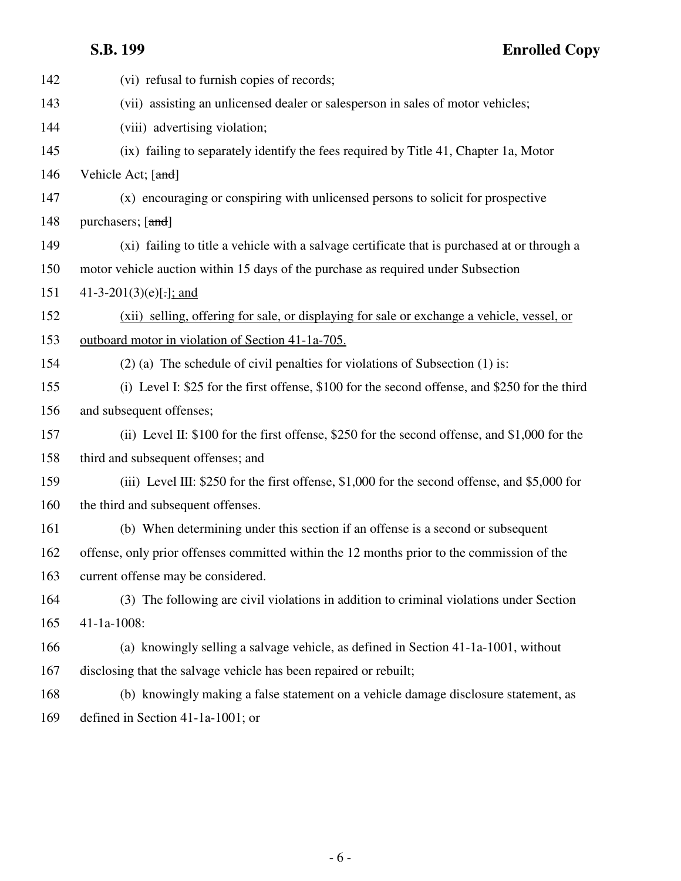| 142 | (vi) refusal to furnish copies of records;                                                     |
|-----|------------------------------------------------------------------------------------------------|
| 143 | (vii) assisting an unlicensed dealer or salesperson in sales of motor vehicles;                |
| 144 | (viii) advertising violation;                                                                  |
| 145 | (ix) failing to separately identify the fees required by Title 41, Chapter 1a, Motor           |
| 146 | Vehicle Act; [and]                                                                             |
| 147 | (x) encouraging or conspiring with unlicensed persons to solicit for prospective               |
| 148 | purchasers; [and]                                                                              |
| 149 | (xi) failing to title a vehicle with a salvage certificate that is purchased at or through a   |
| 150 | motor vehicle auction within 15 days of the purchase as required under Subsection              |
| 151 | 41-3-201(3)(e)[.]; and                                                                         |
| 152 | (xii) selling, offering for sale, or displaying for sale or exchange a vehicle, vessel, or     |
| 153 | outboard motor in violation of Section 41-1a-705.                                              |
| 154 | $(2)$ (a) The schedule of civil penalties for violations of Subsection $(1)$ is:               |
| 155 | (i) Level I: \$25 for the first offense, \$100 for the second offense, and \$250 for the third |
| 156 | and subsequent offenses;                                                                       |
| 157 | (ii) Level II: \$100 for the first offense, \$250 for the second offense, and \$1,000 for the  |
| 158 | third and subsequent offenses; and                                                             |
| 159 | (iii) Level III: \$250 for the first offense, \$1,000 for the second offense, and \$5,000 for  |
| 160 | the third and subsequent offenses.                                                             |
| 161 | (b) When determining under this section if an offense is a second or subsequent                |
| 162 | offense, only prior offenses committed within the 12 months prior to the commission of the     |
| 163 | current offense may be considered.                                                             |
| 164 | (3) The following are civil violations in addition to criminal violations under Section        |
| 165 | $41-1a-1008$ :                                                                                 |
| 166 | (a) knowingly selling a salvage vehicle, as defined in Section 41-1a-1001, without             |
| 167 | disclosing that the salvage vehicle has been repaired or rebuilt;                              |
| 168 | (b) knowingly making a false statement on a vehicle damage disclosure statement, as            |
| 169 | defined in Section 41-1a-1001; or                                                              |